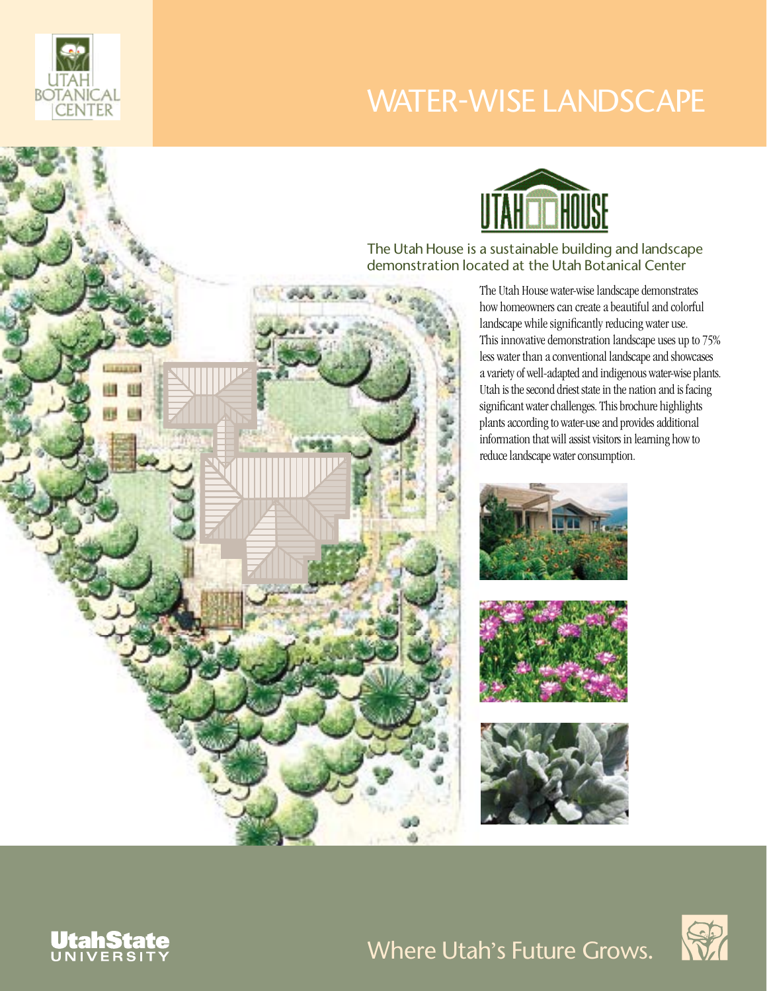

# WATER-WISE LANDSCAPE



The Utah House is a sustainable building and landscape demonstration located at the Utah Botanical Center

> The Utah House water-wise landscape demonstrates how homeowners can create a beautiful and colorful landscape while significantly reducing water use. This innovative demonstration landscape uses up to 75% less water than a conventional landscape and showcases a variety of well-adapted and indigenous water-wise plants. Utah is the second driest state in the nation and is facing significant water challenges. This brochure highlights plants according to water-use and provides additional information that will assist visitors in learning how to reduce landscape water consumption.









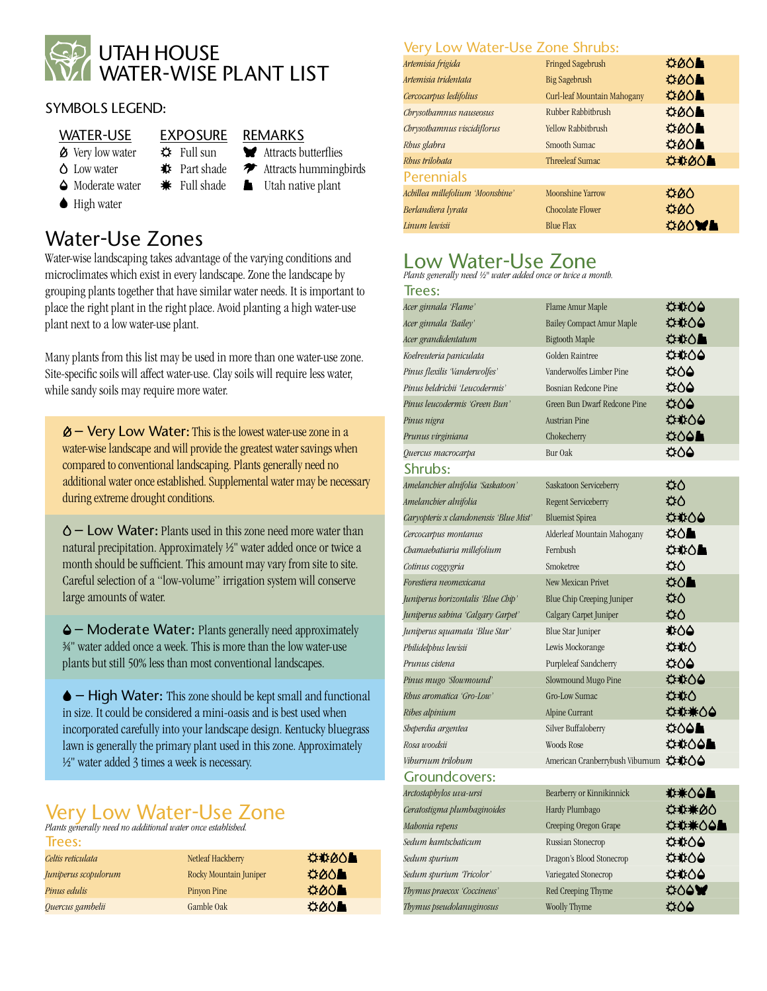

#### SYMBOLS LEGEND:

#### WATER-USE EXPOSURE REMARKS

#### $\circledast$  Very low water  $\circledast$  Full sun  $\bullet$  Attracts butterflies

- $\bullet$  Low water  $\bullet$  **Part shade**  $\bullet$  Attracts hummingbirds
	-
- 
- $\bullet$  High water
- 
- -
- 
- 
- 
- 
- 
- ◆ Moderate water <sub>\*</sub> Full shade **A** Utah native plant
- 

### Water-Use Zones

Water-wise landscaping takes advantage of the varying conditions and microclimates which exist in every landscape. Zone the landscape by grouping plants together that have similar water needs. It is important to place the right plant in the right place. Avoid planting a high water-use plant next to a low water-use plant.

Many plants from this list may be used in more than one water-use zone. Site-specific soils will affect water-use. Clay soils will require less water, while sandy soils may require more water.

 $\&$  – Very Low Water: This is the lowest water-use zone in a water-wise landscape and will provide the greatest water savings when compared to conventional landscaping. Plants generally need no additional water once established. Supplemental water may be necessary during extreme drought conditions.

– Low Water: Plants used in this zone need more water than natural precipitation. Approximately ½" water added once or twice a month should be sufficient. This amount may vary from site to site. Careful selection of a "low-volume" irrigation system will conserve large amounts of water.

– Moderate Water: Plants generally need approximately ¾" water added once a week. This is more than the low water-use plants but still 50% less than most conventional landscapes.

 – High Water: This zone should be kept small and functional in size. It could be considered a mini-oasis and is best used when incorporated carefully into your landscape design. Kentucky bluegrass lawn is generally the primary plant used in this zone. Approximately ½" water added 3 times a week is necessary.

## Very Low Water-Use Zone

*Plants generally need no additional water once established.* 

| Trees:               |                        |             |
|----------------------|------------------------|-------------|
| Celtis reticulata    | Netleaf Hackberry      | ⇔‡⊗∆∎       |
| Juniperus scopulorum | Rocky Mountain Juniper | <b>¤00∎</b> |
| Pinus edulis         | <b>Pinyon Pine</b>     | <b>¤00L</b> |
| Quercus gambelii     | Gamble Oak             | O           |
|                      |                        |             |

#### Very Low Water-Use Zone Shrubs:

| Artemisia frigida                | <b>Fringed Sagebrush</b>    | <b>¤⊘∆L</b>         |
|----------------------------------|-----------------------------|---------------------|
| Artemisia tridentata             | <b>Big Sagebrush</b>        | <b>¤00L</b>         |
| Cercocarpus ledifolius           | Curl-leaf Mountain Mahogany | <b>¤00L</b>         |
| Chrysothamnus nauseosus          | Rubber Rabbitbrush          | $\circ \circ \circ$ |
| Chrysothamnus viscidiflorus      | <b>Yellow Rabbitbrush</b>   | O                   |
| Rhus glabra                      | Smooth Sumac                | <b>¤00L</b>         |
| Rhus trilobata                   | Threeleaf Sumac             | <b>☆☆ØO■</b>        |
| <b>Perennials</b>                |                             |                     |
| Achillea millefolium 'Moonshine' | <b>Moonshine Yarrow</b>     | 900                 |
| Berlandiera lyrata               | Chocolate Flower            | 400                 |
| Linum lewisii                    | <b>Blue Flax</b>            | <b>OOWE</b>         |

### Low Water-Use Zone

*Plants generally need ½" water added once or twice a month.*

| Irees:                                 |                                       |                |
|----------------------------------------|---------------------------------------|----------------|
| Acer ginnala 'Flame'                   | Flame Amur Maple                      | ⇔‡⊱∆≙          |
| Acer ginnala 'Bailey'                  | <b>Bailey Compact Amur Maple</b>      | ⇔₩∆≙           |
| Acer grandidentatum                    | <b>Bigtooth Maple</b>                 | <b>⇔‡∆∆∎</b>   |
| Koelreuteria paniculata                | Golden Raintree                       | ⇔‡∆∆           |
| Pinus flexilis Vanderwolfes'           | Vanderwolfes Limber Pine              | 400            |
| Pinus heldrichii 'Leucodermis'         | Bosnian Redcone Pine                  | 004            |
| Pinus leucodermis 'Green Bun'          | Green Bun Dwarf Redcone Pine          | ¤00            |
| Pinus nigra                            | Austrian Pine                         | **04           |
| Prunus virginiana                      | Chokecherry                           | <b>¤∆∆≞</b>    |
| Quercus macrocarpa                     | Bur Oak                               | 400            |
| Shrubs:                                |                                       |                |
| Amelanchier alnifolia 'Saskatoon'      | Saskatoon Serviceberry                | ۵۵             |
| Amelanchier alnifolia                  | Regent Serviceberry                   | ۵۵             |
| Caryopteris x clandonensis 'Blue Mist' | <b>Bluemist Spirea</b>                | <b>O4#0</b>    |
| Cercocarpus montanus                   | Alderleaf Mountain Mahogany           | ¤∆∎            |
| Chamaebatiaria millefolium             | Fernbush                              | ⇔⇒△▲           |
| Cotinus coggygria                      | Smoketree                             | ΩΩ             |
| Forestiera neomexicana                 | New Mexican Privet                    | ು∆∎            |
| Juniperus horizontalis 'Blue Chip'     | <b>Blue Chip Creeping Juniper</b>     | ధ∆             |
| Juniperus sabina 'Calgary Carpet'      | Calgary Carpet Juniper                | ۵۵             |
| Juniperus squamata 'Blue Star'         | <b>Blue Star Juniper</b>              | 100#           |
| Philidelphus lewisii                   | Lewis Mockorange                      | <b>¤⋭∆</b>     |
| Prunus cistena                         | Purpleleaf Sandcherry                 | <b>¤00</b>     |
| Pinus mugo 'Slowmound'                 | Slowmound Mugo Pine                   | ₩00            |
| Rhus aromatica 'Gro-Low'               | <b>Gro-Low Sumac</b>                  | <b>¤‡∆</b>     |
| Ribes alpinium                         | Alpine Currant                        | ⇔⇔帯へ           |
| Sheperdia argentea                     | Silver Buffaloberry                   | <b>¤∆∆≞</b>    |
| Rosa woodsii                           | Woods Rose                            | <b>☆ ☆ △●■</b> |
| Viburnum trilobum                      | American Cranberrybush Viburnum ☆ #00 |                |
| <b>Groundcovers:</b>                   |                                       |                |
| Arctostaphylos uva-ursi                | Bearberry or Kinnikinnick             | <b>₩☆◇△▲</b>   |
| Ceratostigma plumbaginoides            | Hardy Plumbago                        |                |
| Mahonia repens                         | Creeping Oregon Grape                 | ☆☆米○○▲         |
| Sedum kamtschaticum                    | Russian Stonecrop                     | ⇔‡∆∆           |
| Sedum spurium                          | Dragon's Blood Stonecrop              | <b>¤‡00</b>    |
| Sedum spurium 'Tricolor'               | Variegated Stonecrop                  | ¤‡∆4           |
| Thymus praecox 'Coccineus'             | Red Creeping Thyme                    | <b>COOW</b>    |
| Thymus pseudolanuginosus               | Woolly Thyme                          | 400            |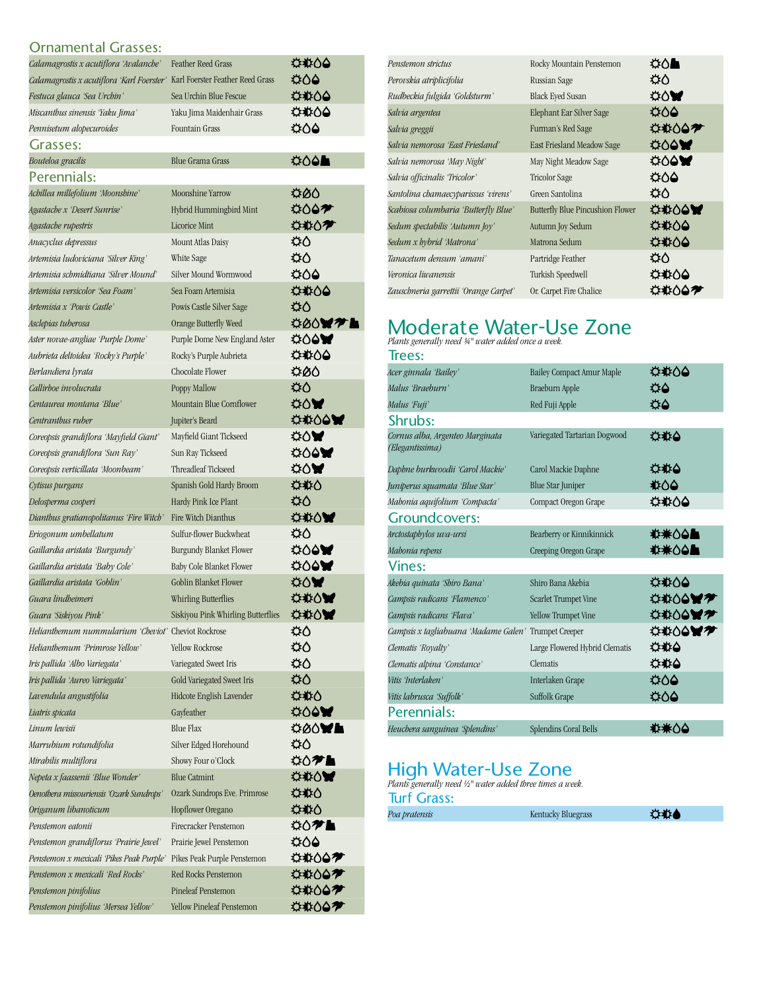#### Ornamental Grasses:

| Calamagrostis x acutiflora 'Avalanche'                                      | <b>Feather Reed Grass</b>          | <b>⇔#00</b>         |
|-----------------------------------------------------------------------------|------------------------------------|---------------------|
| Calamagrostis x acutiflora 'Karl Foerster' Karl Foerster Feather Reed Grass |                                    | <b>⇔∆4</b>          |
| Festuca glauca 'Sea Urchin'                                                 | Sea Urchin Blue Fescue             | <b>¢#00</b>         |
| Miscanthus sinensis 'Yaku Jima'                                             | Yaku Jima Maidenhair Grass         | <b>⇔#00</b>         |
| Pennisetum alopecuroides                                                    | <b>Fountain Grass</b>              | <b>¢60</b>          |
| Grasses:                                                                    |                                    |                     |
| Bouteloa gracilis                                                           | <b>Blue Grama Grass</b>            | <b>¢00L</b>         |
| Perennials:                                                                 |                                    |                     |
| Achillea millefolium 'Moonshine'                                            | Moonshine Yarrow                   | <b>¤00</b>          |
| Agastache x 'Desert Sunrise'                                                | Hybrid Hummingbird Mint            | <b>₩007</b>         |
| Agastache rupestris                                                         | <b>Licorice Mint</b>               | <b>⇔‡∆≁</b>         |
| Anacyclus depressus                                                         | Mount Atlas Daisy                  | Φ٥                  |
| Artemisia ludoviciana 'Silver King'                                         | White Sage                         | ۵۵                  |
| Artemisia schmidtiana 'Silver Mound'                                        | Silver Mound Wormwood              | <b>⇔∆4</b>          |
| Artemisia versicolor 'Sea Foam'                                             | Sea Foam Artemisia                 | <b>⇔#00</b>         |
| Artemisia x 'Powis Castle'                                                  | Powis Castle Silver Sage           | ۵۵                  |
| Asclepias tuberosa                                                          | Orange Butterfly Weed              | <b>\$00071</b><br>٠ |
| Aster novae-angliae 'Purple Dome'                                           | Purple Dome New England Aster      | <b>₩60</b>          |
| Aubrieta deltoidea 'Rocky's Purple'                                         | Rocky's Purple Aubrieta            | <b>⇔#00</b>         |
| Berlandiera lyrata                                                          | Chocolate Flower                   | #00                 |
| Callirboe involucrata                                                       | Poppy Mallow                       | ۵۵                  |
| Centaurea montana 'Blue'                                                    | Mountain Blue Cornflower           | <b>⇔∆₩</b>          |
| Centranthus ruber                                                           | Jupiter's Beard                    | <b>⇔‡∆ó¥</b>        |
| Coreopsis grandiflora 'Mayfield Giant'                                      | Mayfield Giant Tickseed            | ⇔∆₩                 |
| Coreopsis grandiflora 'Sun Ray'                                             | Sun Ray Tickseed                   | ⇔∆ê₩                |
| Coreopsis verticillata 'Moonbeam'                                           | Threadleaf Tickseed                | ⇔∆₩                 |
| Cytisus purgans                                                             | Spanish Gold Hardy Broom           | <b>⇔‡</b> ≵∆        |
| Delosperma cooperi                                                          | Hardy Pink Ice Plant               | ۵Φ                  |
| Dianthus gratianopolitanus 'Fire Witch'                                     | Fire Witch Dianthus                | **0W                |
| Eriogonum umbellatum                                                        | Sulfur-flower Buckwheat            | ۵۵                  |
| Gaillardia aristata 'Burgundy'                                              | <b>Burgundy Blanket Flower</b>     | <b>₩60</b>          |
| Gaillardia aristata 'Baby Cole'                                             | Baby Cole Blanket Flower           | <b>₩60</b>          |
| Gaillardia aristata 'Goblin'                                                | <b>Goblin Blanket Flower</b>       | <b>∰∆₩</b>          |
| Guara lindheimeri                                                           | Whirling Butterflies               | *** 0W              |
| Guara 'Siskiyou Pink'                                                       | Siskiyou Pink Whirling Butterflies | **0W                |
| Helianthemum nummularium 'Cheviot' Cheviot Rockrose                         |                                    | ۵۵                  |
| Helianthemum 'Primrose Yellow'                                              | <b>Yellow Rockrose</b>             | ۵۵                  |
| Iris pallida 'Albo Variegata'                                               | Variegated Sweet Iris              | ۵۵                  |
| Iris pallida 'Aureo Variegata'                                              | Gold Variegated Sweet Iris         | Ω⊅                  |
| Lavendula angustifolia                                                      | Hidcote English Lavender           | <b>⇔≉∆</b>          |
| Liatris spicata                                                             | Gayfeather                         | <b>₩60</b>          |
| Linum lewisii                                                               | <b>Blue Flax</b>                   | Ö0Ó₩L               |
| Marrubium rotundifolia                                                      | Silver Edged Horehound             | Ω⊅                  |
| Mirabilis multiflora                                                        | Showy Four o'Clock                 | <b>⇔∧≁⊾</b>         |
| Nepeta x faassenii 'Blue Wonder'                                            | <b>Blue Catmint</b>                | <b>*****</b>        |
| Oenothera missouriensis 'Ozark Sundrops'                                    | Ozark Sundrops Eve. Primrose       | <b>⇔‡</b> o         |
| Origanum libanoticum                                                        | Hopflower Oregano                  | <b>⇔‡</b> o         |
| Penstemon eatonii                                                           | Firecracker Penstemon              | <b>⇔∧? L</b>        |
| Penstemon grandiflorus 'Prairie Jewel'                                      | Prairie Jewel Penstemon            | <b>¤00</b>          |
| Penstemon x mexicali 'Pikes Peak Purple'                                    | Pikes Peak Purple Penstemon        | <b>⇔</b> ⊅∆⊅        |
| Penstemon x mexicali 'Red Rocks'                                            | Red Rocks Penstemon                | <b>⇔‡∆∂≁</b>        |
| Penstemon pinifolius                                                        | Pineleaf Penstemon                 | <b>⇔‡∆⊝≁</b>        |
| Penstemon pinifolius 'Mersea Yellow'                                        | Yellow Pineleaf Penstemon          | <b>⇔‡∆⊜≁</b>        |

| Penstemon strictus                    | Rocky Mountain Penstemon                | <b>⇔∆L</b>   |
|---------------------------------------|-----------------------------------------|--------------|
| Perovskia atriplicifolia              | Russian Sage                            | ధ∆           |
| Rudbeckia fulgida 'Goldsturm'         | <b>Black Eyed Susan</b>                 | <b>⇔∆₩</b>   |
| Salvia argentea                       | Elephant Ear Silver Sage                | <b>¤00</b>   |
| Salvia greggii                        | Furman's Red Sage                       | <b>⇔‡∆∆≁</b> |
| Salvia nemorosa 'East Friesland'      | East Friesland Meadow Sage              | <b>¢00₩</b>  |
| Salvia nemorosa 'May Night'           | May Night Meadow Sage                   | <b>¢00₩</b>  |
| Salvia officinalis 'Tricolor'         | Tricolor Sage                           | చ∆∆          |
| Santolina chamaecyparissus 'virens'   | Green Santolina                         | ₩∆           |
| Scabiosa columbaria 'Butterfly Blue'  | <b>Butterfly Blue Pincushion Flower</b> | ***00W       |
| Sedum spectabilis 'Autumn Joy'        | Autumn Joy Sedum                        | <b>¢#00</b>  |
| Sedum x hybrid 'Matrona'              | Matrona Sedum                           | ⇔‡∆∆         |
| Tanacetum densum 'amani'              | Partridge Feather                       | ۵⊅           |
| Veronica liwanensis                   | Turkish Speedwell                       | <b>⇔#∆0</b>  |
| Zauschneria garrettii 'Orange Carpet' | Or. Carpet Fire Chalice                 | <b>⇔©⊝≇</b>  |

## Moderate Water-Use Zone *Plants generally need ¾" water added once a week.*

| Trees:                                               |                                  |                |
|------------------------------------------------------|----------------------------------|----------------|
| Acer ginnala 'Bailey'                                | <b>Bailey Compact Amur Maple</b> | <b>⇔⊅∆4</b>    |
| Malus 'Braeburn'                                     | Braeburn Apple                   | 4≎             |
| Malus 'Fuji'                                         | Red Fuji Apple                   | ద≙             |
| Shrubs:                                              |                                  |                |
| Cornus alba, Argenteo Marginata<br>(Elegantissima)   | Variegated Tartarian Dogwood     | ⇔載台            |
| Daphne burkwoodii 'Carol Mackie'                     | Carol Mackie Daphne              | <b>⇔#4</b>     |
| Juniperus squamata 'Blue Star'                       | <b>Blue Star Juniper</b>         | ‡≵∆4           |
| Mahonia aquifolium 'Compacta'                        | Compact Oregon Grape             | <b>⇔#∆0</b>    |
| Groundcovers:                                        |                                  |                |
| Arctostaphylos uva-ursi                              | Bearberry or Kinnikinnick        | <b>排米△△▲</b>   |
| Mahonia repens                                       | Creeping Oregon Grape            | <b>排米△△▲</b>   |
| Vines:                                               |                                  |                |
| Akebia quinata 'Shiro Bana'                          | Shiro Bana Akebia                | <b>¢#00</b>    |
| Campsis radicans 'Flamenco'                          | Scarlet Trumpet Vine             | <b>⇔⋭</b> Òê₩≉ |
| Campsis radicans 'Flava'                             | <b>Yellow Trumpet Vine</b>       | <b>⇔⋭</b> ○♦₩≉ |
| Campsis x tagliabuana 'Madame Galen' Trumpet Creeper |                                  | <b>☆☆○○₩?</b>  |
| Clematis 'Royalty'                                   | Large Flowered Hybrid Clematis   | <b>O#O</b>     |
| Clematis alpina 'Constance'                          | Clematis                         | <b>⇔#4</b>     |
| Vitis 'Interlaken'                                   | Interlaken Grape                 | <b>¢60</b>     |
| Vitis labrusca 'Suffolk'                             | Suffolk Grape                    | <b>¤00</b>     |
| Perennials:                                          |                                  |                |
| Heuchera sanguinea 'Splendins'                       | Splendins Coral Bells            | ₩*00           |

## High Water-Use Zone *Plants generally need ½" water added three times a week.*

| <b>Turf Grass:</b> |  |
|--------------------|--|
| Poa pratensis      |  |

| Poa pratensis | <b>Kentucky Bluegrass</b> | ⇔粒● |  |
|---------------|---------------------------|-----|--|
|               |                           |     |  |